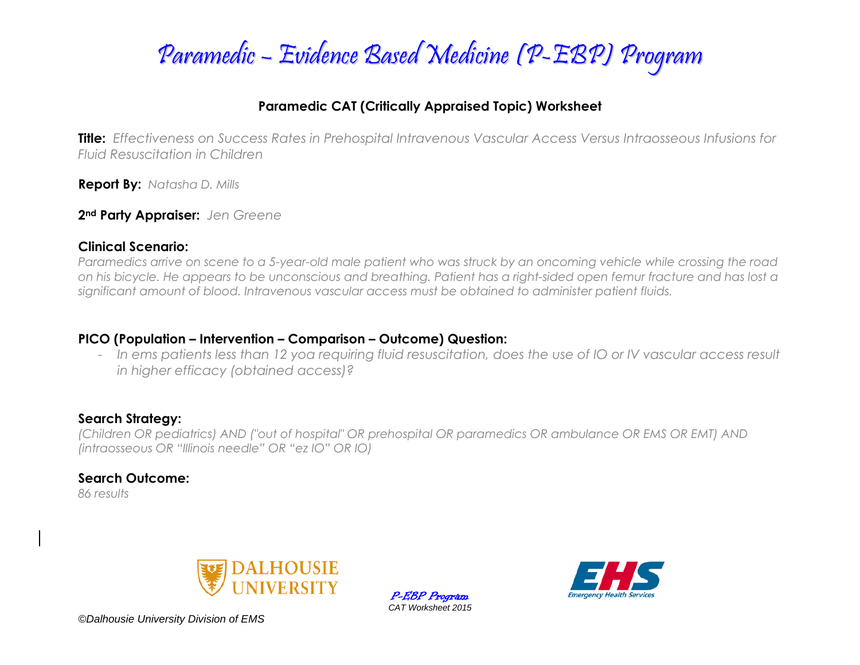

### **Paramedic CAT (Critically Appraised Topic) Worksheet**

**Title:** *Effectiveness on Success Rates in Prehospital Intravenous Vascular Access Versus Intraosseous Infusions for Fluid Resuscitation in Children* 

**Report By:** *Natasha D. Mills*

**2nd Party Appraiser:** *Jen Greene* 

#### **Clinical Scenario:**

*Paramedics arrive on scene to a 5-year-old male patient who was struck by an oncoming vehicle while crossing the road on his bicycle. He appears to be unconscious and breathing. Patient has a right-sided open femur fracture and has lost a significant amount of blood. Intravenous vascular access must be obtained to administer patient fluids.* 

### **PICO (Population – Intervention – Comparison – Outcome) Question:**

- In ems patients less than 12 yoa requiring fluid resuscitation, does the use of IO or IV vascular access result *in higher efficacy (obtained access)?*

### **Search Strategy:**

*(Children OR pediatrics) AND ("out of hospital" OR prehospital OR paramedics OR ambulance OR EMS OR EMT) AND (intraosseous OR "Illinois needle" OR "ez IO" OR IO)*

### **Search Outcome:**

*86 results* 



P-EBP Program *CAT Worksheet 2015*



*©Dalhousie University Division of EMS*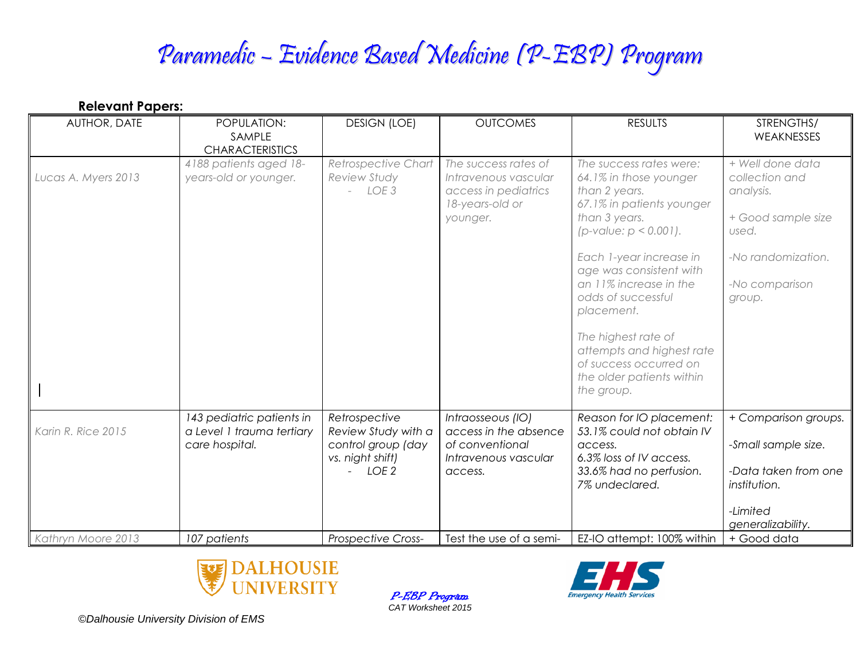# Paramedic – Evidence Based Medicine (P-EBP) Program

| <b>Relevant Papers:</b> |                                                                          |                                                            |                                                                                                     |                                                                                                                                                                                                                                                                                                                                                                                              |                                                                                                                                  |  |  |  |
|-------------------------|--------------------------------------------------------------------------|------------------------------------------------------------|-----------------------------------------------------------------------------------------------------|----------------------------------------------------------------------------------------------------------------------------------------------------------------------------------------------------------------------------------------------------------------------------------------------------------------------------------------------------------------------------------------------|----------------------------------------------------------------------------------------------------------------------------------|--|--|--|
| AUTHOR, DATE            | POPULATION:<br>SAMPLE<br><b>CHARACTERISTICS</b>                          | <b>DESIGN (LOE)</b>                                        | <b>OUTCOMES</b>                                                                                     | <b>RESULTS</b>                                                                                                                                                                                                                                                                                                                                                                               | STRENGTHS/<br><b>WEAKNESSES</b>                                                                                                  |  |  |  |
| Lucas A. Myers 2013     | 4188 patients aged 18-<br>years-old or younger.                          | Retrospective Chart<br>Review Study<br>$-$ LOE 3           | The success rates of<br>Intravenous vascular<br>access in pediatrics<br>18-years-old or<br>younger. | The success rates were:<br>64.1% in those younger<br>than 2 years.<br>67.1% in patients younger<br>than 3 years.<br>$(p$ -value: $p < 0.001$ ).<br>Each 1-year increase in<br>age was consistent with<br>an 11% increase in the<br>odds of successful<br>placement.<br>The highest rate of<br>attempts and highest rate<br>of success occurred on<br>the older patients within<br>the group. | + Well done data<br>collection and<br>analysis.<br>+ Good sample size<br>used.<br>-No randomization.<br>-No comparison<br>group. |  |  |  |
| Karin R. Rice 2015      | 143 pediatric patients in<br>a Level 1 trauma tertiary<br>care hospital. | Retrospective<br>Review Study with a<br>control group (day | Intraosseous (IO)<br>access in the absence<br>of conventional                                       | Reason for IO placement:<br>53.1% could not obtain IV<br>access.                                                                                                                                                                                                                                                                                                                             | + Comparison groups.<br>-Small sample size.                                                                                      |  |  |  |
|                         |                                                                          | vs. night shift)<br>LOE <sub>2</sub>                       | Intravenous vascular<br>access.                                                                     | 6.3% loss of IV access.<br>33.6% had no perfusion.<br>7% undeclared.                                                                                                                                                                                                                                                                                                                         | -Data taken from one<br>institution.                                                                                             |  |  |  |
|                         |                                                                          |                                                            |                                                                                                     |                                                                                                                                                                                                                                                                                                                                                                                              | -Limited<br>generalizability.                                                                                                    |  |  |  |
| Kathryn Moore 2013      | 107 patients                                                             | Prospective Cross-                                         | Test the use of a semi-                                                                             | EZ-IO attempt: 100% within                                                                                                                                                                                                                                                                                                                                                                   | + Good data                                                                                                                      |  |  |  |



P-EBP Program *CAT Worksheet 2015*



*©Dalhousie University Division of EMS*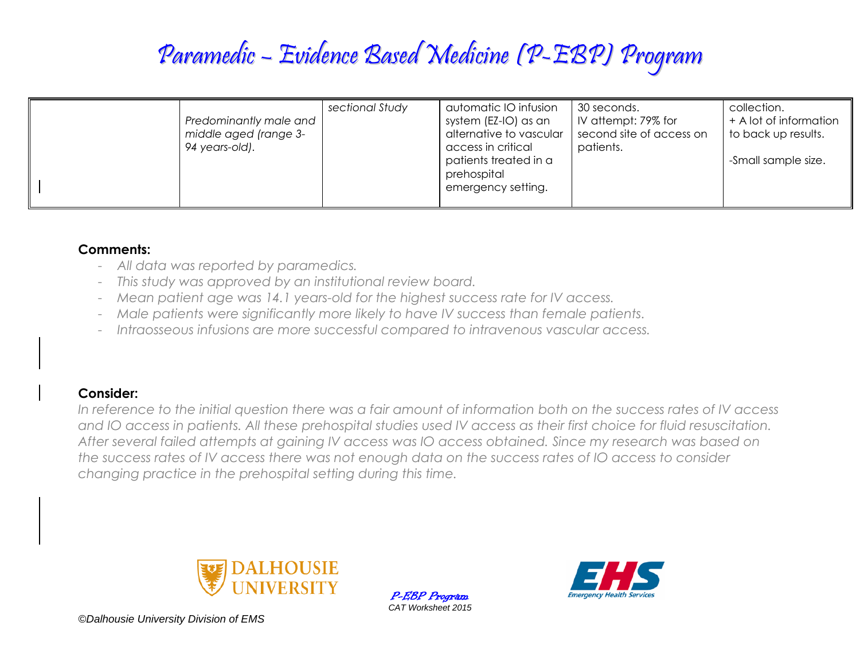# Paramedic – Evidence Based Medicine (P-EBP) Program

| Predominantly male and<br>middle aged (range 3-<br>94 years-old). | sectional Study | automatic IO infusion<br>system (EZ-IO) as an<br>alternative to vascular<br>access in critical<br>patients treated in a<br>prehospital<br>emergency setting. | 30 seconds.<br>IV attempt: 79% for<br>second site of access on<br>patients. | collection.<br>+ A lot of information<br>to back up results.<br>-Small sample size. |
|-------------------------------------------------------------------|-----------------|--------------------------------------------------------------------------------------------------------------------------------------------------------------|-----------------------------------------------------------------------------|-------------------------------------------------------------------------------------|
|-------------------------------------------------------------------|-----------------|--------------------------------------------------------------------------------------------------------------------------------------------------------------|-----------------------------------------------------------------------------|-------------------------------------------------------------------------------------|

### **Comments:**

- *All data was reported by paramedics.*
- *This study was approved by an institutional review board.*
- *Mean patient age was 14.1 years-old for the highest success rate for IV access.*
- *Male patients were significantly more likely to have IV success than female patients.*
- *Intraosseous infusions are more successful compared to intravenous vascular access.*

### **Consider:**

In reference to the initial question there was a fair amount of information both on the success rates of IV access *and IO access in patients. All these prehospital studies used IV access as their first choice for fluid resuscitation. After several failed attempts at gaining IV access was IO access obtained. Since my research was based on the success rates of IV access there was not enough data on the success rates of IO access to consider changing practice in the prehospital setting during this time.* 



P-EBP Program *CAT Worksheet 2015*



*©Dalhousie University Division of EMS*